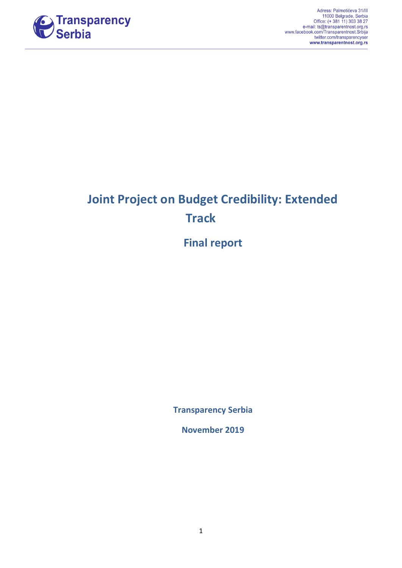

# **Joint Project on Budget Credibility: Extended Track**

**Final report**

**Transparency Serbia**

**November 2019**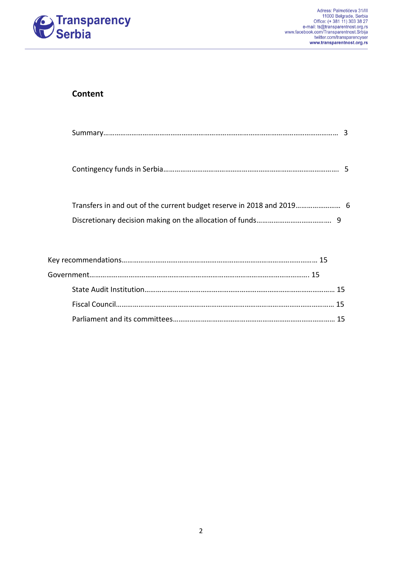

# **Content**

Contingency funds in Serbia…………………………………………………………………………………. 5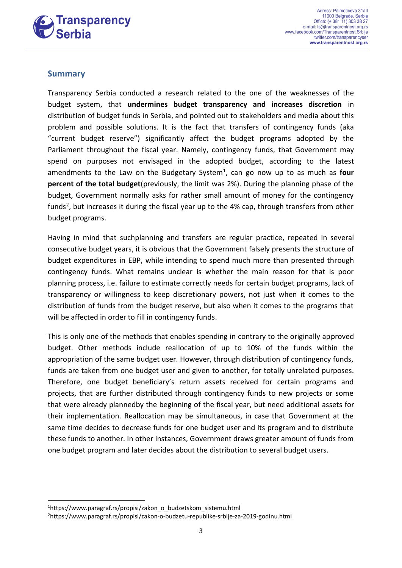

## **Summary**

Transparency Serbia conducted a research related to the one of the weaknesses of the budget system, that **undermines budget transparency and increases discretion** in distribution of budget funds in Serbia, and pointed out to stakeholders and media about this problem and possible solutions. It is the fact that transfers of contingency funds (aka "current budget reserve") significantly affect the budget programs adopted by the Parliament throughout the fiscal year. Namely, contingency funds, that Government may spend on purposes not envisaged in the adopted budget, according to the latest amendments to the Law on the Budgetary System<sup>1</sup>, can go now up to as much as four **percent of the total budget**(previously, the limit was 2%). During the planning phase of the budget, Government normally asks for rather small amount of money for the contingency funds<sup>2</sup>, but increases it during the fiscal year up to the 4% cap, through transfers from other budget programs.

Having in mind that suchplanning and transfers are regular practice, repeated in several consecutive budget years, it is obvious that the Government falsely presents the structure of budget expenditures in EBP, while intending to spend much more than presented through contingency funds. What remains unclear is whether the main reason for that is poor planning process, i.e. failure to estimate correctly needs for certain budget programs, lack of transparency or willingness to keep discretionary powers, not just when it comes to the distribution of funds from the budget reserve, but also when it comes to the programs that will be affected in order to fill in contingency funds.

This is only one of the methods that enables spending in contrary to the originally approved budget. Other methods include reallocation of up to 10% of the funds within the appropriation of the same budget user. However, through distribution of contingency funds, funds are taken from one budget user and given to another, for totally unrelated purposes. Therefore, one budget beneficiary's return assets received for certain programs and projects, that are further distributed through contingency funds to new projects or some that were already plannedby the beginning of the fiscal year, but need additional assets for their implementation. Reallocation may be simultaneous, in case that Government at the same time decides to decrease funds for one budget user and its program and to distribute these funds to another. In other instances, Government draws greater amount of funds from one budget program and later decides about the distribution to several budget users.

1

<sup>&</sup>lt;sup>1</sup>https://www.paragraf.rs/propisi/zakon\_o\_budzetskom\_sistemu.html

<sup>2</sup>https://www.paragraf.rs/propisi/zakon-o-budzetu-republike-srbije-za-2019-godinu.html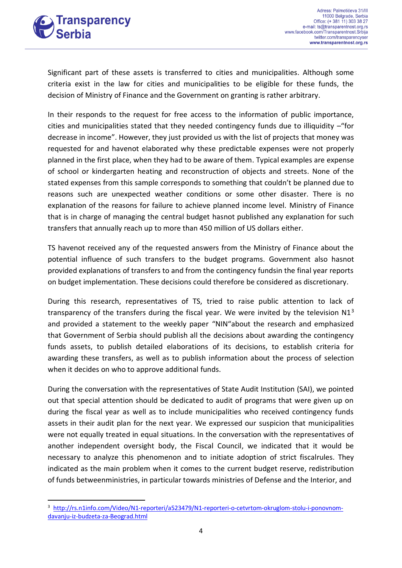

1

Significant part of these assets is transferred to cities and municipalities. Although some criteria exist in the law for cities and municipalities to be eligible for these funds, the decision of Ministry of Finance and the Government on granting is rather arbitrary.

In their responds to the request for free access to the information of public importance, cities and municipalities stated that they needed contingency funds due to illiquidity –"for decrease in income". However, they just provided us with the list of projects that money was requested for and havenot elaborated why these predictable expenses were not properly planned in the first place, when they had to be aware of them. Typical examples are expense of school or kindergarten heating and reconstruction of objects and streets. None of the stated expenses from this sample corresponds to something that couldn't be planned due to reasons such are unexpected weather conditions or some other disaster. There is no explanation of the reasons for failure to achieve planned income level. Ministry of Finance that is in charge of managing the central budget hasnot published any explanation for such transfers that annually reach up to more than 450 million of US dollars either.

TS havenot received any of the requested answers from the Ministry of Finance about the potential influence of such transfers to the budget programs. Government also hasnot provided explanations of transfers to and from the contingency fundsin the final year reports on budget implementation. These decisions could therefore be considered as discretionary.

During this research, representatives of TS, tried to raise public attention to lack of transparency of the transfers during the fiscal year. We were invited by the television  $N1<sup>3</sup>$ and provided a statement to the weekly paper "NIN"about the research and emphasized that Government of Serbia should publish all the decisions about awarding the contingency funds assets, to publish detailed elaborations of its decisions, to establish criteria for awarding these transfers, as well as to publish information about the process of selection when it decides on who to approve additional funds.

During the conversation with the representatives of State Audit Institution (SAI), we pointed out that special attention should be dedicated to audit of programs that were given up on during the fiscal year as well as to include municipalities who received contingency funds assets in their audit plan for the next year. We expressed our suspicion that municipalities were not equally treated in equal situations. In the conversation with the representatives of another independent oversight body, the Fiscal Council, we indicated that it would be necessary to analyze this phenomenon and to initiate adoption of strict fiscalrules. They indicated as the main problem when it comes to the current budget reserve, redistribution of funds betweenministries, in particular towards ministries of Defense and the Interior, and

<sup>&</sup>lt;sup>3</sup> [http://rs.n1info.com/Video/N1-reporteri/a523479/N1-reporteri-o-cetvrtom-okruglom-stolu-i-ponovnom](http://rs.n1info.com/Video/N1-reporteri/a523479/N1-reporteri-o-cetvrtom-okruglom-stolu-i-ponovnom-davanju-iz-budzeta-za-Beograd.html)[davanju-iz-budzeta-za-Beograd.html](http://rs.n1info.com/Video/N1-reporteri/a523479/N1-reporteri-o-cetvrtom-okruglom-stolu-i-ponovnom-davanju-iz-budzeta-za-Beograd.html)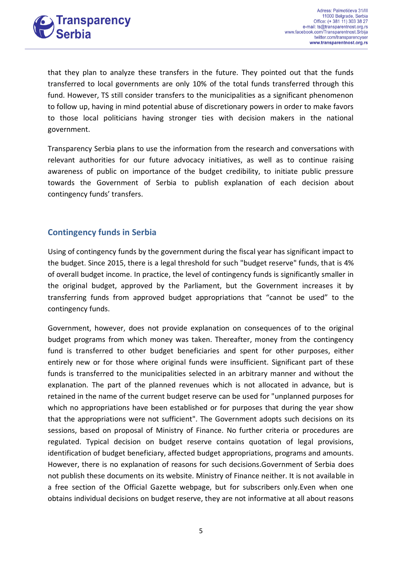

that they plan to analyze these transfers in the future. They pointed out that the funds transferred to local governments are only 10% of the total funds transferred through this fund. However, TS still consider transfers to the municipalities as a significant phenomenon to follow up, having in mind potential abuse of discretionary powers in order to make favors to those local politicians having stronger ties with decision makers in the national government.

Transparency Serbia plans to use the information from the research and conversations with relevant authorities for our future advocacy initiatives, as well as to continue raising awareness of public on importance of the budget credibility, to initiate public pressure towards the Government of Serbia to publish explanation of each decision about contingency funds' transfers.

# **Contingency funds in Serbia**

Using of contingency funds by the government during the fiscal year has significant impact to the budget. Since 2015, there is a legal threshold for such "budget reserve" funds, that is 4% of overall budget income. In practice, the level of contingency funds is significantly smaller in the original budget, approved by the Parliament, but the Government increases it by transferring funds from approved budget appropriations that "cannot be used" to the contingency funds.

Government, however, does not provide explanation on consequences of to the original budget programs from which money was taken. Thereafter, money from the contingency fund is transferred to other budget beneficiaries and spent for other purposes, either entirely new or for those where original funds were insufficient. Significant part of these funds is transferred to the municipalities selected in an arbitrary manner and without the explanation. The part of the planned revenues which is not allocated in advance, but is retained in the name of the current budget reserve can be used for "unplanned purposes for which no appropriations have been established or for purposes that during the year show that the appropriations were not sufficient". The Government adopts such decisions on its sessions, based on proposal of Ministry of Finance. No further criteria or procedures are regulated. Typical decision on budget reserve contains quotation of legal provisions, identification of budget beneficiary, affected budget appropriations, programs and amounts. However, there is no explanation of reasons for such decisions.Government of Serbia does not publish these documents on its website. Ministry of Finance neither. It is not available in a free section of the Official Gazette webpage, but for subscribers only.Even when one obtains individual decisions on budget reserve, they are not informative at all about reasons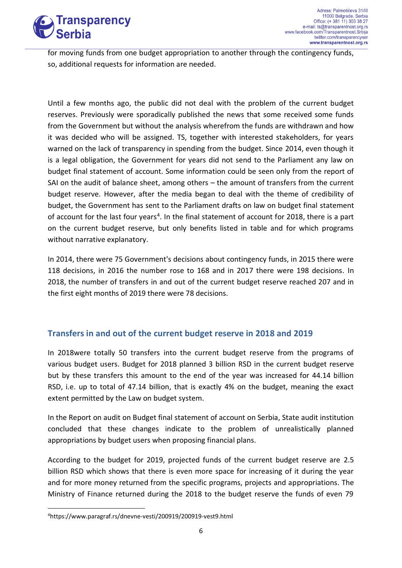

for moving funds from one budget appropriation to another through the contingency funds, so, additional requests for information are needed.

Until a few months ago, the public did not deal with the problem of the current budget reserves. Previously were sporadically published the news that some received some funds from the Government but without the analysis wherefrom the funds are withdrawn and how it was decided who will be assigned. TS, together with interested stakeholders, for years warned on the lack of transparency in spending from the budget. Since 2014, even though it is a legal obligation, the Government for years did not send to the Parliament any law on budget final statement of account. Some information could be seen only from the report of SAI on the audit of balance sheet, among others – the amount of transfers from the current budget reserve. However, after the media began to deal with the theme of credibility of budget, the Government has sent to the Parliament drafts on law on budget final statement of account for the last four years<sup>4</sup>. In the final statement of account for 2018, there is a part on the current budget reserve, but only benefits listed in table and for which programs without narrative explanatory.

In 2014, there were 75 Government's decisions about contingency funds, in 2015 there were 118 decisions, in 2016 the number rose to 168 and in 2017 there were 198 decisions. In 2018, the number of transfers in and out of the current budget reserve reached 207 and in the first eight months of 2019 there were 78 decisions.

# **Transfers in and out of the current budget reserve in 2018 and 2019**

In 2018were totally 50 transfers into the current budget reserve from the programs of various budget users. Budget for 2018 planned 3 billion RSD in the current budget reserve but by these transfers this amount to the end of the year was increased for 44.14 billion RSD, i.e. up to total of 47.14 billion, that is exactly 4% on the budget, meaning the exact extent permitted by the Law on budget system.

In the Report on audit on Budget final statement of account on Serbia, State audit institution concluded that these changes indicate to the problem of unrealistically planned appropriations by budget users when proposing financial plans.

According to the budget for 2019, projected funds of the current budget reserve are 2.5 billion RSD which shows that there is even more space for increasing of it during the year and for more money returned from the specific programs, projects and appropriations. The Ministry of Finance returned during the 2018 to the budget reserve the funds of even 79

**<sup>.</sup>** 4https://www.paragraf.rs/dnevne-vesti/200919/200919-vest9.html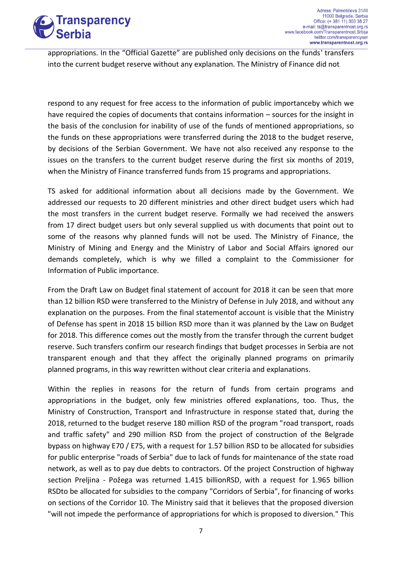

appropriations. In the "Official Gazette" are published only decisions on the funds' transfers into the current budget reserve without any explanation. The Ministry of Finance did not

respond to any request for free access to the information of public importanceby which we have required the copies of documents that contains information – sources for the insight in the basis of the conclusion for inability of use of the funds of mentioned appropriations, so the funds on these appropriations were transferred during the 2018 to the budget reserve, by decisions of the Serbian Government. We have not also received any response to the issues on the transfers to the current budget reserve during the first six months of 2019, when the Ministry of Finance transferred funds from 15 programs and appropriations.

TS asked for additional information about all decisions made by the Government. We addressed our requests to 20 different ministries and other direct budget users which had the most transfers in the current budget reserve. Formally we had received the answers from 17 direct budget users but only several supplied us with documents that point out to some of the reasons why planned funds will not be used. The Ministry of Finance, the Ministry of Mining and Energy and the Ministry of Labor and Social Affairs ignored our demands completely, which is why we filled a complaint to the Commissioner for Information of Public importance.

From the Draft Law on Budget final statement of account for 2018 it can be seen that more than 12 billion RSD were transferred to the Ministry of Defense in July 2018, and without any explanation on the purposes. From the final statementof account is visible that the Ministry of Defense has spent in 2018 15 billion RSD more than it was planned by the Law on Budget for 2018. This difference comes out the mostly from the transfer through the current budget reserve. Such transfers confirm our research findings that budget processes in Serbia are not transparent enough and that they affect the originally planned programs on primarily planned programs, in this way rewritten without clear criteria and explanations.

Within the replies in reasons for the return of funds from certain programs and appropriations in the budget, only few ministries offered explanations, too. Thus, the Ministry of Construction, Transport and Infrastructure in response stated that, during the 2018, returned to the budget reserve 180 million RSD of the program "road transport, roads and traffic safety" and 290 million RSD from the project of construction of the Belgrade bypass on highway E70 / E75, with a request for 1.57 billion RSD to be allocated for subsidies for public enterprise "roads of Serbia" due to lack of funds for maintenance of the state road network, as well as to pay due debts to contractors. Of the project Construction of highway section Preljina - Požega was returned 1.415 billionRSD, with a request for 1.965 billion RSDto be allocated for subsidies to the company "Corridors of Serbia", for financing of works on sections of the Corridor 10. The Ministry said that it believes that the proposed diversion "will not impede the performance of appropriations for which is proposed to diversion." This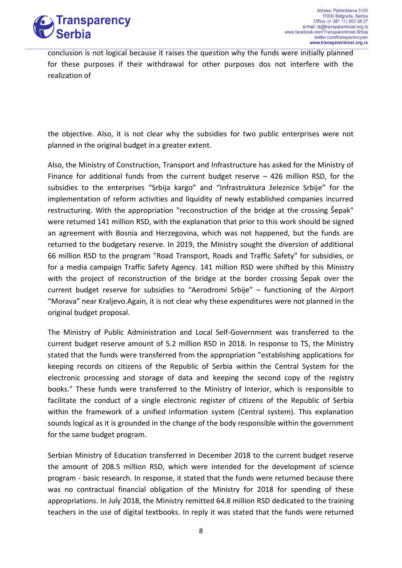

conclusion is not logical because it raises the question why the funds were initially planned for these purposes if their withdrawal for other purposes dos not interfere with the realization of

the objective. Also, it is not clear why the subsidies for two public enterprises were not planned in the original budget in a greater extent.

Also, the Ministry of Construction, Transport and Infrastructure has asked for the Ministry of Finance for additional funds from the current budget reserve – 426 million RSD, for the subsidies to the enterprises "Srbija kargo" and "Infrastruktura železnice Srbije" for the implementation of reform activities and liquidity of newly established companies incurred restructuring. With the appropriation "reconstruction of the bridge at the crossing Šepak" were returned 141 million RSD, with the explanation that prior to this work should be signed an agreement with Bosnia and Herzegovina, which was not happened, but the funds are returned to the budgetary reserve. In 2019, the Ministry sought the diversion of additional 66 million RSD to the program "Road Transport, Roads and Traffic Safety" for subsidies, or for a media campaign Traffic Safety Agency. 141 million RSD were shifted by this Ministry with the project of reconstruction of the bridge at the border crossing Šepak over the current budget reserve for subsidies to "Aerodromi Srbije" – functioning of the Airport "Morava" near Kraljevo.Again, it is not clear why these expenditures were not planned in the original budget proposal.

The Ministry of Public Administration and Local Self-Government was transferred to the current budget reserve amount of 5.2 million RSD in 2018. In response to TS, the Ministry stated that the funds were transferred from the appropriation "establishing applications for keeping records on citizens of the Republic of Serbia within the Central System for the electronic processing and storage of data and keeping the second copy of the registry books." These funds were transferred to the Ministry of Interior, which is responsible to facilitate the conduct of a single electronic register of citizens of the Republic of Serbia within the framework of a unified information system (Central system). This explanation sounds logical as it is grounded in the change of the body responsible within the government for the same budget program.

Serbian Ministry of Education transferred in December 2018 to the current budget reserve the amount of 208.5 million RSD, which were intended for the development of science program - basic research. In response, it stated that the funds were returned because there was no contractual financial obligation of the Ministry for 2018 for spending of these appropriations. In July 2018, the Ministry remitted 64.8 million RSD dedicated to the training teachers in the use of digital textbooks. In reply it was stated that the funds were returned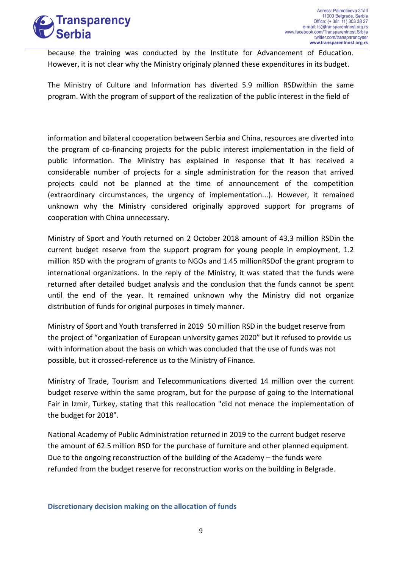

because the training was conducted by the Institute for Advancement of Education. However, it is not clear why the Ministry originaly planned these expenditures in its budget.

The Ministry of Culture and Information has diverted 5.9 million RSDwithin the same program. With the program of support of the realization of the public interest in the field of

information and bilateral cooperation between Serbia and China, resources are diverted into the program of co-financing projects for the public interest implementation in the field of public information. The Ministry has explained in response that it has received a considerable number of projects for a single administration for the reason that arrived projects could not be planned at the time of announcement of the competition (extraordinary circumstances, the urgency of implementation...). However, it remained unknown why the Ministry considered originally approved support for programs of cooperation with China unnecessary.

Ministry of Sport and Youth returned on 2 October 2018 amount of 43.3 million RSDin the current budget reserve from the support program for young people in employment, 1.2 million RSD with the program of grants to NGOs and 1.45 millionRSDof the grant program to international organizations. In the reply of the Ministry, it was stated that the funds were returned after detailed budget analysis and the conclusion that the funds cannot be spent until the end of the year. It remained unknown why the Ministry did not organize distribution of funds for original purposes in timely manner.

Ministry of Sport and Youth transferred in 2019 50 million RSD in the budget reserve from the project of "organization of European university games 2020" but it refused to provide us with information about the basis on which was concluded that the use of funds was not possible, but it crossed-reference us to the Ministry of Finance.

Ministry of Trade, Tourism and Telecommunications diverted 14 million over the current budget reserve within the same program, but for the purpose of going to the International Fair in Izmir, Turkey, stating that this reallocation "did not menace the implementation of the budget for 2018".

National Academy of Public Administration returned in 2019 to the current budget reserve the amount of 62.5 million RSD for the purchase of furniture and other planned equipment. Due to the ongoing reconstruction of the building of the Academy – the funds were refunded from the budget reserve for reconstruction works on the building in Belgrade.

## **Discretionary decision making on the allocation of funds**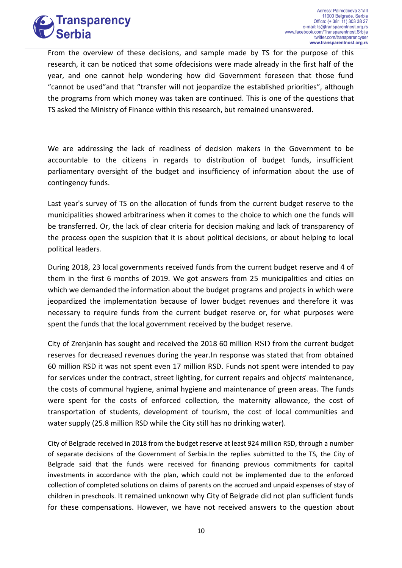

From the overview of these decisions, and sample made by TS for the purpose of this research, it can be noticed that some ofdecisions were made already in the first half of the year, and one cannot help wondering how did Government foreseen that those fund "cannot be used"and that "transfer will not jeopardize the established priorities", although the programs from which money was taken are continued. This is one of the questions that TS asked the Ministry of Finance within this research, but remained unanswered.

We are addressing the lack of readiness of decision makers in the Government to be accountable to the citizens in regards to distribution of budget funds, insufficient parliamentary oversight of the budget and insufficiency of information about the use of contingency funds.

Last year's survey of TS on the allocation of funds from the current budget reserve to the municipalities showed arbitrariness when it comes to the choice to which one the funds will be transferred. Or, the lack of clear criteria for decision making and lack of transparency of the process open the suspicion that it is about political decisions, or about helping to local political leaders.

During 2018, 23 local governments received funds from the current budget reserve and 4 of them in the first 6 months of 2019. We got answers from 25 municipalities and cities on which we demanded the information about the budget programs and projects in which were jeopardized the implementation because of lower budget revenues and therefore it was necessary to require funds from the current budget reserve or, for what purposes were spent the funds that the local government received by the budget reserve.

City of Zrenjanin has sought and received the 2018 60 million RSD from the current budget reserves for decreased revenues during the year.In response was stated that from obtained 60 million RSD it was not spent even 17 million RSD. Funds not spent were intended to pay for services under the contract, street lighting, for current repairs and objects' maintenance, the costs of communal hygiene, animal hygiene and maintenance of green areas. The funds were spent for the costs of enforced collection, the maternity allowance, the cost of transportation of students, development of tourism, the cost of local communities and water supply (25.8 million RSD while the City still has no drinking water).

City of Belgrade received in 2018 from the budget reserve at least 924 million RSD, through a number of separate decisions of the Government of Serbia.In the replies submitted to the TS, the City of Belgrade said that the funds were received for financing previous commitments for capital investments in accordance with the plan, which could not be implemented due to the enforced collection of completed solutions on claims of parents on the accrued and unpaid expenses of stay of children in preschools. It remained unknown why City of Belgrade did not plan sufficient funds for these compensations. However, we have not received answers to the question about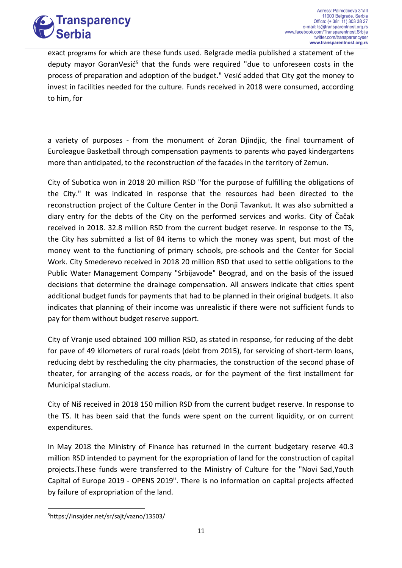

exact programs for which are these funds used. Belgrade media published a statement of the deputy mayor GoranVesić<sup>5</sup> that the funds were required "due to unforeseen costs in the process of preparation and adoption of the budget." Vesić added that City got the money to invest in facilities needed for the culture. Funds received in 2018 were consumed, according to him, for

a variety of purposes - from the monument of Zoran Djindjic, the final tournament of Euroleague Basketball through compensation payments to parents who payed kindergartens more than anticipated, to the reconstruction of the facades in the territory of Zemun.

City of Subotica won in 2018 20 million RSD "for the purpose of fulfilling the obligations of the City." It was indicated in response that the resources had been directed to the reconstruction project of the Culture Center in the Donji Tavankut. It was also submitted a diary entry for the debts of the City on the performed services and works. City of Čačak received in 2018. 32.8 million RSD from the current budget reserve. In response to the TS, the City has submitted a list of 84 items to which the money was spent, but most of the money went to the functioning of primary schools, pre-schools and the Center for Social Work. City Smederevo received in 2018 20 million RSD that used to settle obligations to the Public Water Management Company "Srbijavode" Beograd, and on the basis of the issued decisions that determine the drainage compensation. All answers indicate that cities spent additional budget funds for payments that had to be planned in their original budgets. It also indicates that planning of their income was unrealistic if there were not sufficient funds to pay for them without budget reserve support.

City of Vranje used obtained 100 million RSD, as stated in response, for reducing of the debt for pave of 49 kilometers of rural roads (debt from 2015), for servicing of short-term loans, reducing debt by rescheduling the city pharmacies, the construction of the second phase of theater, for arranging of the access roads, or for the payment of the first installment for Municipal stadium.

City of Niš received in 2018 150 million RSD from the current budget reserve. In response to the TS. It has been said that the funds were spent on the current liquidity, or on current expenditures.

In May 2018 the Ministry of Finance has returned in the current budgetary reserve 40.3 million RSD intended to payment for the expropriation of land for the construction of capital projects.These funds were transferred to the Ministry of Culture for the "Novi Sad,Youth Capital of Europe 2019 - OPENS 2019". There is no information on capital projects affected by failure of expropriation of the land.

**<sup>.</sup>** 5https://insajder.net/sr/sajt/vazno/13503/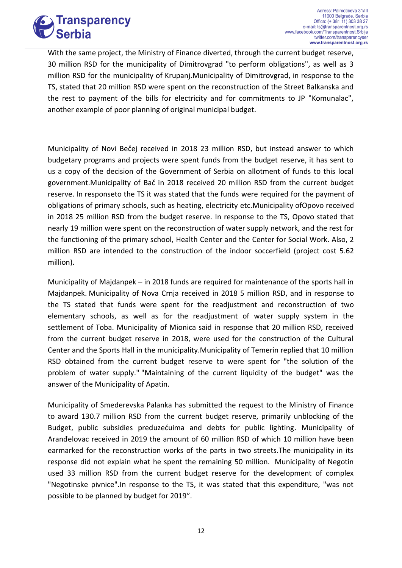

With the same project, the Ministry of Finance diverted, through the current budget reserve, 30 million RSD for the municipality of Dimitrovgrad "to perform obligations", as well as 3 million RSD for the municipality of Krupanj.Municipality of Dimitrovgrad, in response to the TS, stated that 20 million RSD were spent on the reconstruction of the Street Balkanska and the rest to payment of the bills for electricity and for commitments to JP "Komunalac", another example of poor planning of original municipal budget.

Municipality of Novi Bečej received in 2018 23 million RSD, but instead answer to which budgetary programs and projects were spent funds from the budget reserve, it has sent to us a copy of the decision of the Government of Serbia on allotment of funds to this local government.Municipality of Bač in 2018 received 20 million RSD from the current budget reserve. In responseto the TS it was stated that the funds were required for the payment of obligations of primary schools, such as heating, electricity etc.Municipality ofOpovo received in 2018 25 million RSD from the budget reserve. In response to the TS, Opovo stated that nearly 19 million were spent on the reconstruction of water supply network, and the rest for the functioning of the primary school, Health Center and the Center for Social Work. Also, 2 million RSD are intended to the construction of the indoor soccerfield (project cost 5.62 million).

Municipality of Majdanpek – in 2018 funds are required for maintenance of the sports hall in Majdanpek. Municipality of Nova Crnja received in 2018 5 million RSD, and in response to the TS stated that funds were spent for the readjustment and reconstruction of two elementary schools, as well as for the readjustment of water supply system in the settlement of Toba. Municipality of Mionica said in response that 20 million RSD, received from the current budget reserve in 2018, were used for the construction of the Cultural Center and the Sports Hall in the municipality.Municipality of Temerin replied that 10 million RSD obtained from the current budget reserve to were spent for "the solution of the problem of water supply." "Maintaining of the current liquidity of the budget" was the answer of the Municipality of Apatin.

Municipality of Smederevska Palanka has submitted the request to the Ministry of Finance to award 130.7 million RSD from the current budget reserve, primarily unblocking of the Budget, public subsidies preduzećuima and debts for public lighting. Municipality of Aranđelovac received in 2019 the amount of 60 million RSD of which 10 million have been earmarked for the reconstruction works of the parts in two streets.The municipality in its response did not explain what he spent the remaining 50 million. Municipality of Negotin used 33 million RSD from the current budget reserve for the development of complex "Negotinske pivnice".In response to the TS, it was stated that this expenditure, "was not possible to be planned by budget for 2019".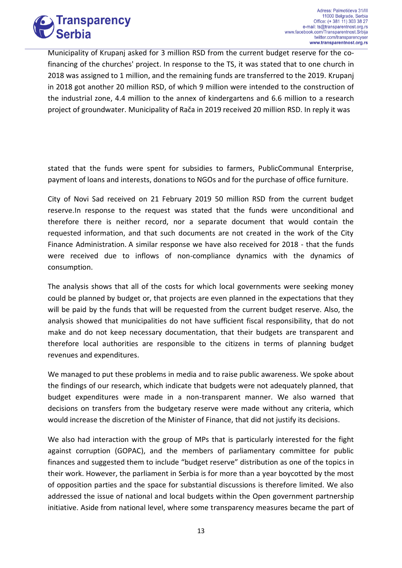

Municipality of Krupanj asked for 3 million RSD from the current budget reserve for the cofinancing of the churches' project. In response to the TS, it was stated that to one church in 2018 was assigned to 1 million, and the remaining funds are transferred to the 2019. Krupanj in 2018 got another 20 million RSD, of which 9 million were intended to the construction of the industrial zone, 4.4 million to the annex of kindergartens and 6.6 million to a research project of groundwater. Municipality of Rača in 2019 received 20 million RSD. In reply it was

stated that the funds were spent for subsidies to farmers, PublicCommunal Enterprise, payment of loans and interests, donations to NGOs and for the purchase of office furniture.

City of Novi Sad received on 21 February 2019 50 million RSD from the current budget reserve.In response to the request was stated that the funds were unconditional and therefore there is neither record, nor a separate document that would contain the requested information, and that such documents are not created in the work of the City Finance Administration. A similar response we have also received for 2018 - that the funds were received due to inflows of non-compliance dynamics with the dynamics of consumption.

The analysis shows that all of the costs for which local governments were seeking money could be planned by budget or, that projects are even planned in the expectations that they will be paid by the funds that will be requested from the current budget reserve. Also, the analysis showed that municipalities do not have sufficient fiscal responsibility, that do not make and do not keep necessary documentation, that their budgets are transparent and therefore local authorities are responsible to the citizens in terms of planning budget revenues and expenditures.

We managed to put these problems in media and to raise public awareness. We spoke about the findings of our research, which indicate that budgets were not adequately planned, that budget expenditures were made in a non-transparent manner. We also warned that decisions on transfers from the budgetary reserve were made without any criteria, which would increase the discretion of the Minister of Finance, that did not justify its decisions.

We also had interaction with the group of MPs that is particularly interested for the fight against corruption (GOPAC), and the members of parliamentary committee for public finances and suggested them to include "budget reserve" distribution as one of the topics in their work. However, the parliament in Serbia is for more than a year boycotted by the most of opposition parties and the space for substantial discussions is therefore limited. We also addressed the issue of national and local budgets within the Open government partnership initiative. Aside from national level, where some transparency measures became the part of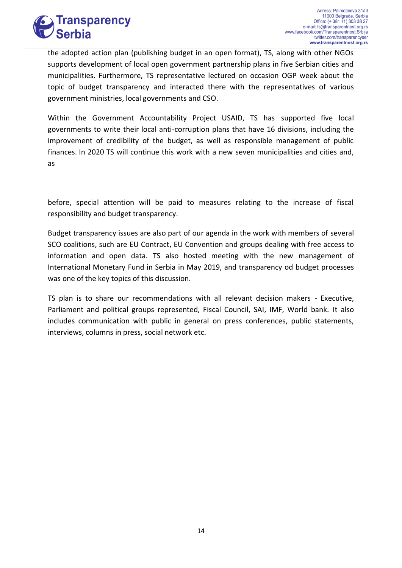

the adopted action plan (publishing budget in an open format), TS, along with other NGOs supports development of local open government partnership plans in five Serbian cities and municipalities. Furthermore, TS representative lectured on occasion OGP week about the topic of budget transparency and interacted there with the representatives of various government ministries, local governments and CSO.

Within the Government Accountability Project USAID, TS has supported five local governments to write their local anti-corruption plans that have 16 divisions, including the improvement of credibility of the budget, as well as responsible management of public finances. In 2020 TS will continue this work with a new seven municipalities and cities and, as

before, special attention will be paid to measures relating to the increase of fiscal responsibility and budget transparency.

Budget transparency issues are also part of our agenda in the work with members of several SCO coalitions, such are EU Contract, EU Convention and groups dealing with free access to information and open data. TS also hosted meeting with the new management of International Monetary Fund in Serbia in May 2019, and transparency od budget processes was one of the key topics of this discussion.

TS plan is to share our recommendations with all relevant decision makers - Executive, Parliament and political groups represented, Fiscal Council, SAI, IMF, World bank. It also includes communication with public in general on press conferences, public statements, interviews, columns in press, social network etc.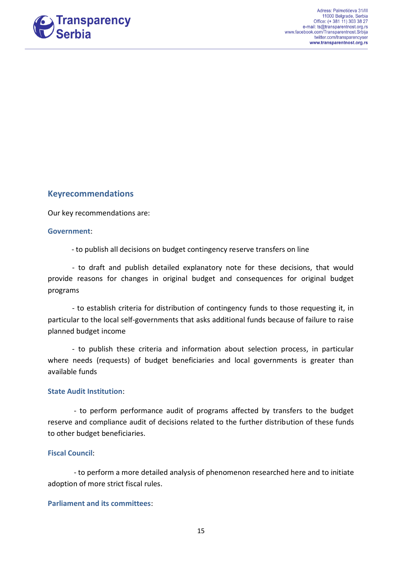

## **Keyrecommendations**

Our key recommendations are:

### **Government**:

- to publish all decisions on budget contingency reserve transfers on line

- to draft and publish detailed explanatory note for these decisions, that would provide reasons for changes in original budget and consequences for original budget programs

- to establish criteria for distribution of contingency funds to those requesting it, in particular to the local self-governments that asks additional funds because of failure to raise planned budget income

- to publish these criteria and information about selection process, in particular where needs (requests) of budget beneficiaries and local governments is greater than available funds

### **State Audit Institution**:

- to perform performance audit of programs affected by transfers to the budget reserve and compliance audit of decisions related to the further distribution of these funds to other budget beneficiaries.

### **Fiscal Council**:

- to perform a more detailed analysis of phenomenon researched here and to initiate adoption of more strict fiscal rules.

## **Parliament and its committees**: